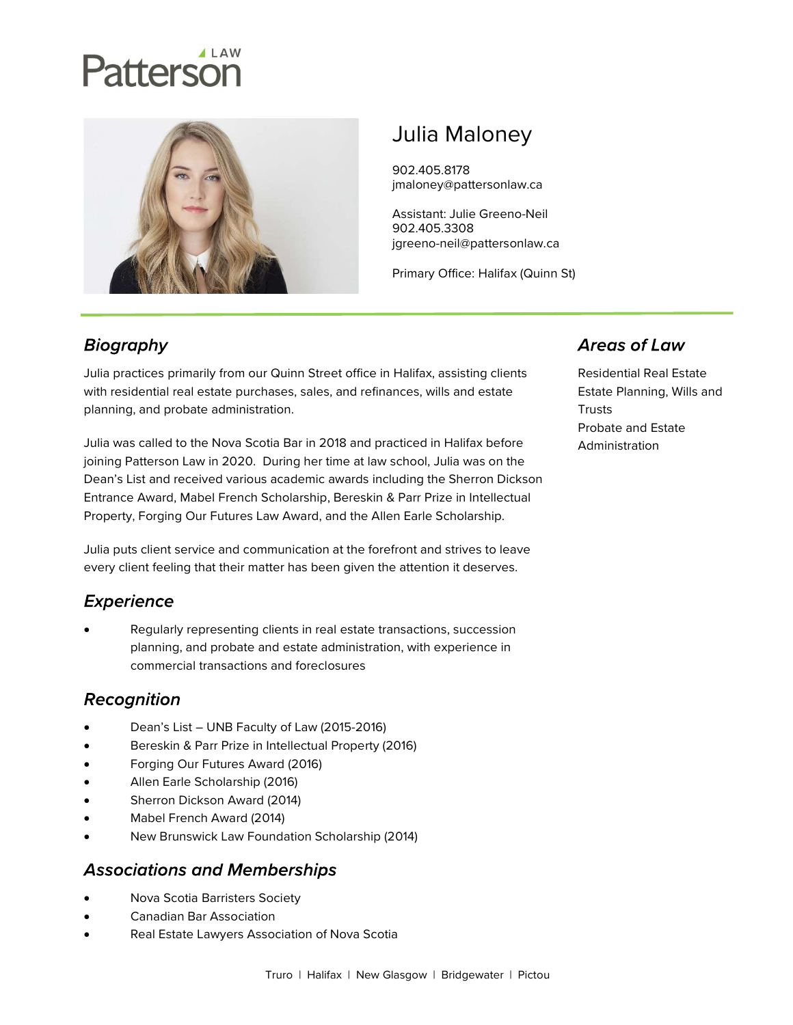# Patterson



# Julia Maloney

902.405.8178 jmaloney@pattersonlaw.ca

Assistant: Julie Greeno-Neil 902.405.3308 jgreeno-neil@pattersonlaw.ca

Primary Office: Halifax (Quinn St)

# **Biography**

Julia practices primarily from our Quinn Street office in Halifax, assisting clients with residential real estate purchases, sales, and refinances, wills and estate planning, and probate administration.

Julia was called to the Nova Scotia Bar in 2018 and practiced in Halifax before joining Patterson Law in 2020. During her time at law school, Julia was on the Dean's List and received various academic awards including the Sherron Dickson Entrance Award, Mabel French Scholarship, Bereskin & Parr Prize in Intellectual Property, Forging Our Futures Law Award, and the Allen Earle Scholarship.

Julia puts client service and communication at the forefront and strives to leave every client feeling that their matter has been given the attention it deserves.

# **Experience**

 Regularly representing clients in real estate transactions, succession planning, and probate and estate administration, with experience in commercial transactions and foreclosures

# Recognition

- Dean's List UNB Faculty of Law (2015-2016)
- Bereskin & Parr Prize in Intellectual Property (2016)
- Forging Our Futures Award (2016)
- Allen Earle Scholarship (2016)
- Sherron Dickson Award (2014)
- Mabel French Award (2014)
- New Brunswick Law Foundation Scholarship (2014)

#### **Associations and Memberships**

- Nova Scotia Barristers Society
- Canadian Bar Association
- Real Estate Lawyers Association of Nova Scotia

#### **Areas of Law**

Residential Real Estate Estate Planning, Wills and **Trusts** Probate and Estate Administration